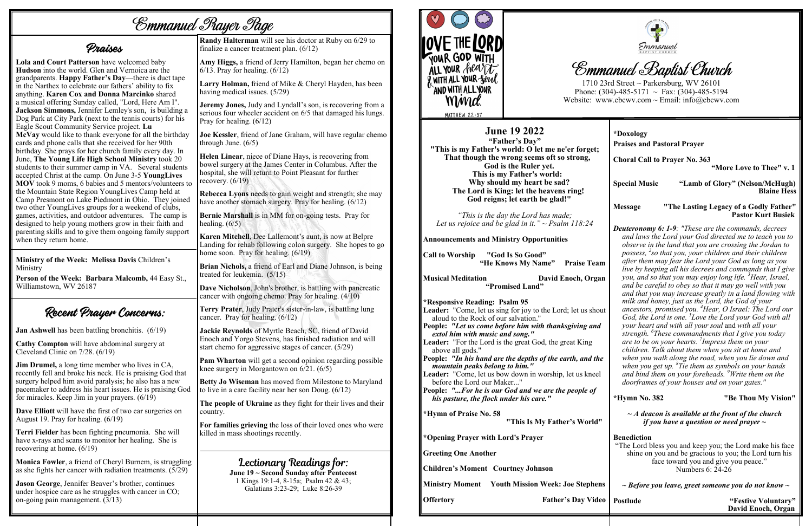# *Emmanuel Prayer Page*

Praises

**Lola and Court Patterson** have welcomed baby **Hudson** into the world. Glen and Vernoica are the grandparents. **Happy Father's Day**—there is duct tape in the Narthex to celebrate our fathers' ability to fix anything. **Karen Cox and Donna Marcinko** shared a musical offering Sunday called, "Lord, Here Am I". **Jackson Simmons,** Jennifer Lemley's son, is building a Dog Park at City Park (next to the tennis courts) for his Eagle Scout Community Service project. **Lu McVay** would like to thank everyone for all the birthday cards and phone calls that she received for her 90th birthday. She prays for her church family every day. In June, **The Young Life High School Ministry** took 20 students to their summer camp in VA. Several students accepted Christ at the camp. On June 3-5 **YoungLives MOV** took 9 moms, 6 babies and 5 mentors/volunteers to the Mountain State Region YoungLives Camp held at Camp Presmont on Lake Piedmont in Ohio. They joined two other YoungLives groups for a weekend of clubs, games, activities, and outdoor adventures. The camp is designed to help young mothers grow in their faith and parenting skills and to give them ongoing family support when they return home.

**Monica Fowler**, a friend of Cheryl Burnem, is struggling as she fights her cancer with radiation treatments.  $(5/29)$ 

**Ministry of the Week: Melissa Davis** Children's Ministry

**Person of the Week: Barbara Malcomb,** 44 Easy St., Williamstown, WV 26187

Recent Prayer Concerns:

**Call to Worship "God Is So Good" "He Knows My Name"** Praise Team

**Jan Ashwell** has been battling bronchitis. (6/19)

**Musical Meditation Communisty David Enoch, Organ "Promised Land"** 

**Cathy Compton** will have abdominal surgery at Cleveland Clinic on 7/28. (6/19)

**Jim Drumel,** a long time member who lives in CA, recently fell and broke his neck. He is praising God that surgery helped him avoid paralysis; he also has a new pacemaker to address his heart issues. He is praising God for miracles. Keep Jim in your prayers. (6/19)

**Dave Elliott** will have the first of two ear surgeries on August 19. Pray for healing. (6/19)

**Terri Fielder** has been fighting pneumonia. She will have x-rays and scans to monitor her healing. She is recovering at home. (6/19)

**Joe Kessler**, friend of Jane Graham, will have regular chemo through June.  $(6/5)$ 

**Helen Linear**, niece of Diane Hays, is recovering from bowel surgery at the James Center in Columbus. After the hospital, she will return to Point Pleasant for further recovery.  $(6/19)$ 

**Rebecca Lyons** needs to gain weight and strength; she may have another stomach surgery. Pray for healing.  $(6/12)$ 

**Jason George**, Jennifer Beaver's brother, continues under hospice care as he struggles with cancer in CO; on-going pain management. (3/13)

**Bernie Marshall** is in MM for on-going tests. Pray for healing.  $(6/5)$ 

#### **June 19 2022**

**"Father's Day" "This is my Father's world: O let me ne'er forget; That though the wrong seems oft so strong, God is the Ruler yet. This is my Father's world: Why should my heart be sad? The Lord is King: let the heavens ring! God reigns; let earth be glad!"**

*"This is the day the Lord has made; Let us rejoice and be glad in it." ~ Psalm 118:24* 

**Announcements and Ministry Opportunities**

**Lectionary Readings for:**<br>June 19 ~ Second Sunday after Pentecost 1 Kings 19:1-4, 8-15a; Psalm 42 & 43; Galatians 3:23-29; Luke 8:26-39



**\*Responsive Reading: Psalm 95 Leader:** "Come, let us sing for joy to the Lord; let us sh aloud to the Rock of our salvation." **People:** "Let us come before him with thanksgiving an *extol him with music and song."*  **Leader:** "For the Lord is the great God, the great King above all gods." People: *"In his hand are the depths of the earth, and the arth mountain peaks belong to him."*  Leader: "Come, let us bow down in worship, let us knee before the Lord our Maker..." **People:** *"...For he is our God and we are the people of his pasture, the flock under his care."*  **\*Hymn of Praise No. 58 "This Is My Father's World" \*Opening Prayer with Lord's Prayer Greeting One Another**

**Children's Moment Courtney Johnson**

**Ministry Moment Youth Mission Week: Joe Stephens**

**Offertory Father's Day Video** 



# **Emmanuel Baptist Church**

**Randy Halterman** will see his doctor at Ruby on 6/29 to finalize a cancer treatment plan. (6/12)

**Amy Higgs,** a friend of Jerry Hamilton, began her chemo on 6/13. Pray for healing. (6/12)

**Larry Holman,** friend of Mike & Cheryl Hayden, has been having medical issues. (5/29)

**Jeremy Jones,** Judy and Lyndall's son, is recovering from a serious four wheeler accident on 6/5 that damaged his lungs. Pray for healing. (6/12)

**Karen Mitchell**, Dee Lallemont's aunt, is now at Belpre Landing for rehab following colon surgery. She hopes to go home soon. Pray for healing. (6/19)

**Brian Nichols,** a friend of Earl and Diane Johnson, is being treated for leukemia. (5/15)

**Dave Nicholson**, John's brother, is battling with pancreatic cancer with ongoing chemo. Pray for healing. (4/10)

**Terry Prater**, Judy Prater's sister-in-law, is battling lung cancer. Pray for healing. (6/12)

**Jackie Reynolds** of Myrtle Beach, SC, friend of David Enoch and Yorgo Stevens, has finished radiation and will start chemo for aggressive stages of cancer. (5/29)

**Pam Wharton** will get a second opinion regarding possible knee surgery in Morgantown on 6/21. (6/5)

**Betty Jo Wiseman** has moved from Milestone to Maryland to live in a care facility near her son Doug. (6/12)

**The people of Ukraine** as they fight for their lives and their country.

**For families grieving** the loss of their loved ones who were killed in mass shootings recently.

1710 23rd Street ~ Parkersburg, WV 26101 Phone: (304)-485-5171  $\sim$  Fax: (304)-485-5194 Website: www.ebcwv.com ~ Email: info@ebcwv.com

|                                                       | *Doxology<br><b>Praises and Pastoral Prayer</b><br><b>Choral Call to Prayer No. 363</b><br>"More Love to Thee" v. 1                                                                                                                                                                                                                                                                                                                                                                                                                                                                                                                                                                                                                                                                                                                                                                                                                                                                                                                                                                                                                                                                                                                                                 |                                                                     |  |
|-------------------------------------------------------|---------------------------------------------------------------------------------------------------------------------------------------------------------------------------------------------------------------------------------------------------------------------------------------------------------------------------------------------------------------------------------------------------------------------------------------------------------------------------------------------------------------------------------------------------------------------------------------------------------------------------------------------------------------------------------------------------------------------------------------------------------------------------------------------------------------------------------------------------------------------------------------------------------------------------------------------------------------------------------------------------------------------------------------------------------------------------------------------------------------------------------------------------------------------------------------------------------------------------------------------------------------------|---------------------------------------------------------------------|--|
| $\ddot{\phantom{0}}$                                  |                                                                                                                                                                                                                                                                                                                                                                                                                                                                                                                                                                                                                                                                                                                                                                                                                                                                                                                                                                                                                                                                                                                                                                                                                                                                     |                                                                     |  |
|                                                       | <b>Special Music</b>                                                                                                                                                                                                                                                                                                                                                                                                                                                                                                                                                                                                                                                                                                                                                                                                                                                                                                                                                                                                                                                                                                                                                                                                                                                | "Lamb of Glory" (Nelson/McHugh)<br><b>Blaine Hess</b>               |  |
|                                                       | <b>Message</b>                                                                                                                                                                                                                                                                                                                                                                                                                                                                                                                                                                                                                                                                                                                                                                                                                                                                                                                                                                                                                                                                                                                                                                                                                                                      | "The Lasting Legacy of a Godly Father"<br><b>Pastor Kurt Busiek</b> |  |
| am<br><b>zan</b><br>out<br>$\overline{d}$<br>he<br>el | <b>Deuteronomy 6: 1-9:</b> "These are the commands, decrees<br>and laws the Lord your God directed me to teach you to<br>observe in the land that you are crossing the Jordan to<br>possess, <sup>2</sup> so that you, your children and their children<br>after them may fear the Lord your God as long as you<br>live by keeping all his decrees and commands that I give<br>you, and so that you may enjoy long life. <sup>3</sup> Hear, Israel,<br>and be careful to obey so that it may go well with you<br>and that you may increase greatly in a land flowing with<br>milk and honey, just as the Lord, the God of your<br>ancestors, promised you. <sup>4</sup> Hear, O Israel: The Lord our<br>God, the Lord is one. <sup>5</sup> Love the Lord your God with all<br>your heart and with all your soul and with all your<br>strength. <sup>6</sup> These commandments that I give you today<br>are to be on your hearts. <sup>7</sup> Impress them on your<br>children. Talk about them when you sit at home and<br>when you walk along the road, when you lie down and<br>when you get up. ${}^{8}$ Tie them as symbols on your hands<br>and bind them on your foreheads. <sup>9</sup> Write them on the<br>doorframes of your houses and on your gates." |                                                                     |  |
|                                                       | *Hymn No. 382                                                                                                                                                                                                                                                                                                                                                                                                                                                                                                                                                                                                                                                                                                                                                                                                                                                                                                                                                                                                                                                                                                                                                                                                                                                       | "Be Thou My Vision"                                                 |  |
| 1''                                                   | $\sim$ A deacon is available at the front of the church<br>if you have a question or need prayer $\sim$                                                                                                                                                                                                                                                                                                                                                                                                                                                                                                                                                                                                                                                                                                                                                                                                                                                                                                                                                                                                                                                                                                                                                             |                                                                     |  |
|                                                       | <b>Benediction</b><br>"The Lord bless you and keep you; the Lord make his face<br>shine on you and be gracious to you; the Lord turn his<br>face toward you and give you peace."<br>Numbers 6: 24-26                                                                                                                                                                                                                                                                                                                                                                                                                                                                                                                                                                                                                                                                                                                                                                                                                                                                                                                                                                                                                                                                |                                                                     |  |
| ens                                                   |                                                                                                                                                                                                                                                                                                                                                                                                                                                                                                                                                                                                                                                                                                                                                                                                                                                                                                                                                                                                                                                                                                                                                                                                                                                                     | $\sim$ Before you leave, greet someone you do not know $\sim$       |  |
| deo                                                   | <b>Postlude</b>                                                                                                                                                                                                                                                                                                                                                                                                                                                                                                                                                                                                                                                                                                                                                                                                                                                                                                                                                                                                                                                                                                                                                                                                                                                     | "Festive Voluntary"<br>David Enoch, Organ                           |  |
|                                                       |                                                                                                                                                                                                                                                                                                                                                                                                                                                                                                                                                                                                                                                                                                                                                                                                                                                                                                                                                                                                                                                                                                                                                                                                                                                                     |                                                                     |  |